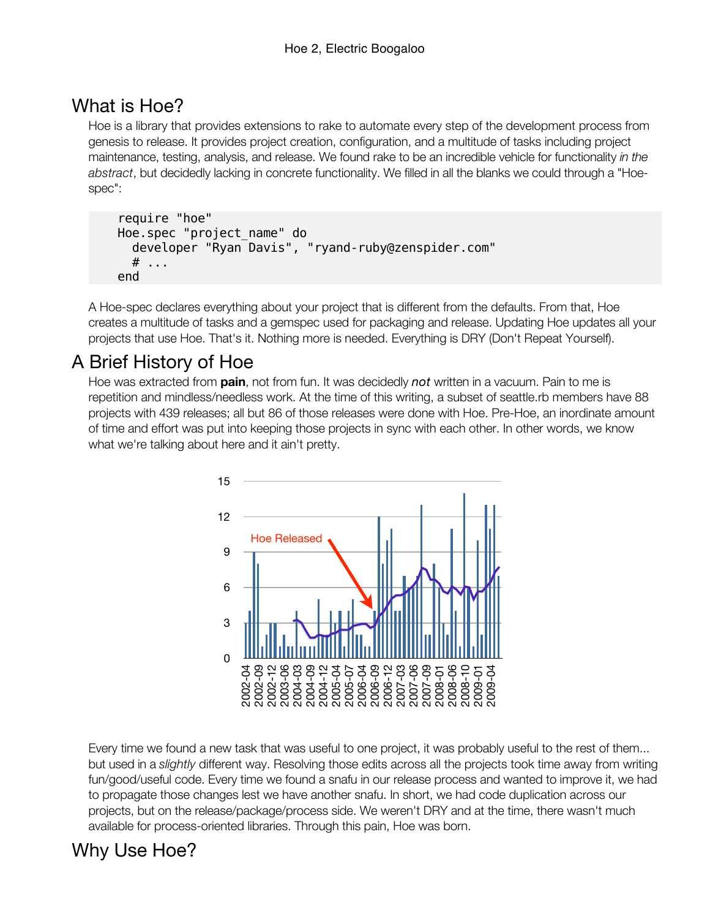# What is Hoe?

Hoe is a library that provides extensions to rake to automate every step of the development process from genesis to release. It provides project creation, configuration, and a multitude of tasks including project maintenance, testing, analysis, and release. We found rake to be an incredible vehicle for functionality *in the abstract*, but decidedly lacking in concrete functionality. We filled in all the blanks we could through a "Hoespec":

```
 require "hoe"
 Hoe.spec "project_name" do
   developer "Ryan Davis", "ryand-ruby@zenspider.com"
   # ...
 end
```
A Hoe-spec declares everything about your project that is different from the defaults. From that, Hoe creates a multitude of tasks and a gemspec used for packaging and release. Updating Hoe updates all your projects that use Hoe. That's it. Nothing more is needed. Everything is DRY (Don't Repeat Yourself).

# A Brief History of Hoe

Hoe was extracted from **pain**, not from fun. It was decidedly *not* written in a vacuum. Pain to me is repetition and mindless/needless work. At the time of this writing, a subset of seattle.rb members have 88 projects with 439 releases; all but 86 of those releases were done with Hoe. Pre-Hoe, an inordinate amount of time and effort was put into keeping those projects in sync with each other. In other words, we know what we're talking about here and it ain't pretty.



Every time we found a new task that was useful to one project, it was probably useful to the rest of them... but used in a *slightly* different way. Resolving those edits across all the projects took time away from writing fun/good/useful code. Every time we found a snafu in our release process and wanted to improve it, we had to propagate those changes lest we have another snafu. In short, we had code duplication across our projects, but on the release/package/process side. We weren't DRY and at the time, there wasn't much available for process-oriented libraries. Through this pain, Hoe was born.

# Why Use Hoe?

Projects, the DRY way dry |drī| adjective 5. A software engineering principal stating "Every piece of knowledge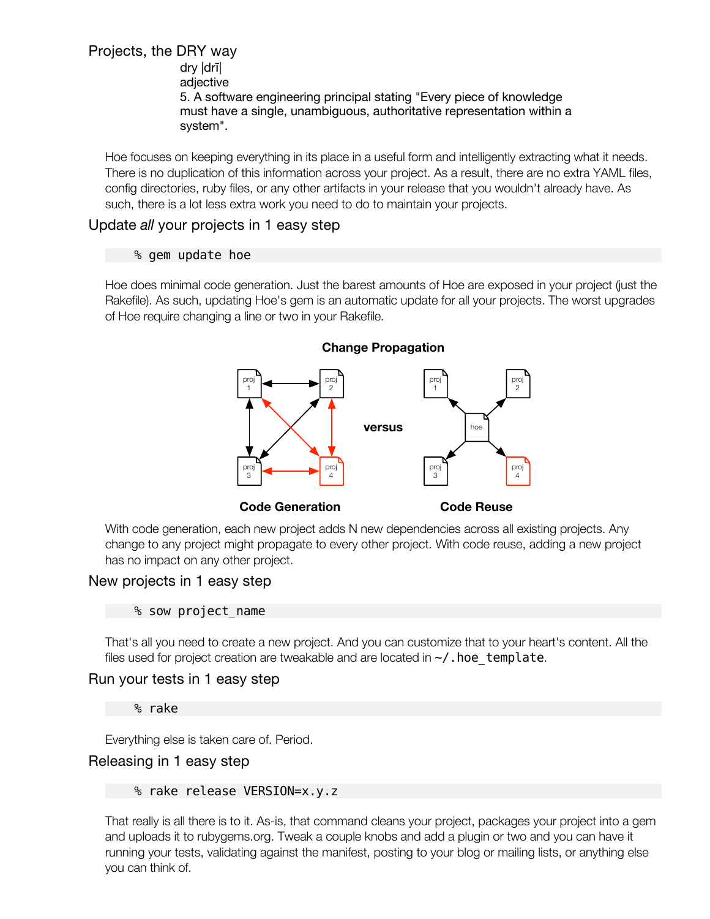# Why Use Hoe?

Projects, the DRY way dry |drī| adjective 5. A software engineering principal stating "Every piece of knowledge must have a single, unambiguous, authoritative representation within a system".

Hoe focuses on keeping everything in its place in a useful form and intelligently extracting what it needs. There is no duplication of this information across your project. As a result, there are no extra YAML files, config directories, ruby files, or any other artifacts in your release that you wouldn't already have. As such, there is a lot less extra work you need to do to maintain your projects.

## Update *all* your projects in 1 easy step

#### % gem update hoe

Hoe does minimal code generation. Just the barest amounts of Hoe are exposed in your project (just the Rakefile). As such, updating Hoe's gem is an automatic update for all your projects. The worst upgrades of Hoe require changing a line or two in your Rakefile.



With code generation, each new project adds N new dependencies across all existing projects. Any change to any project might propagate to every other project. With code reuse, adding a new project has no impact on any other project.

## New projects in 1 easy step

#### % sow project\_name

That's all you need to create a new project. And you can customize that to your heart's content. All the files used for project creation are tweakable and are located in  $\sim$ /. hoe template.

## Run your tests in 1 easy step

% rake

Everything else is taken care of. Period.

## Releasing in 1 easy step

#### % rake release VERSION=x.y.z

That really is all there is to it. As-is, that command cleans your project, packages your project into a gem and uploads it to rubygems.org. Tweak a couple knobs and add a plugin or two and you can have it running your tests, validating against the manifest, posting to your blog or mailing lists, or anything else you can think of.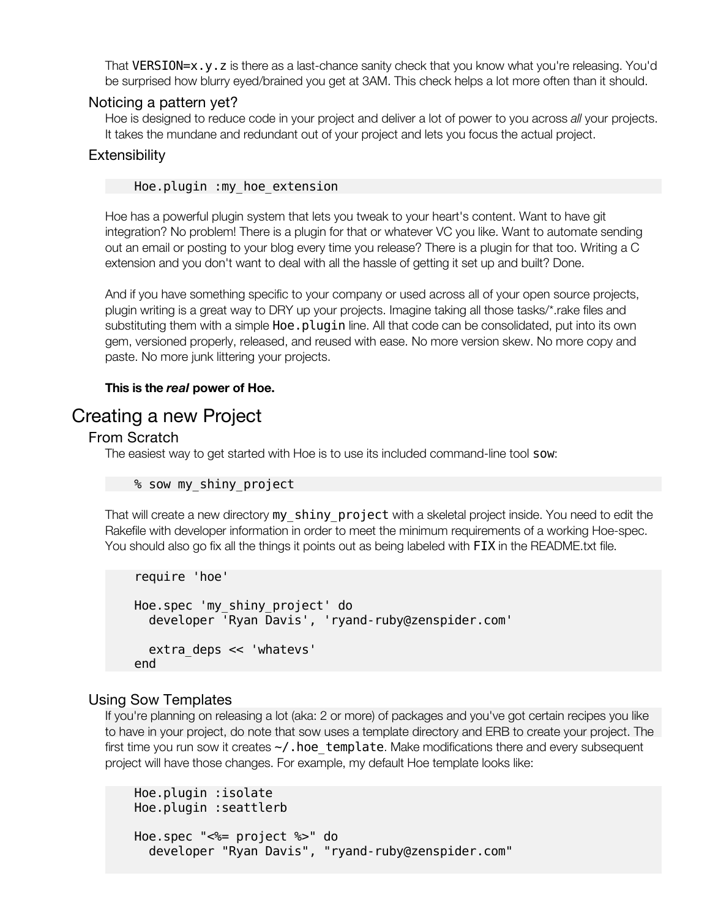That VERSION=x.y.z is there as a last-chance sanity check that you know what you're releasing. You'd be surprised how blurry eyed/brained you get at 3AM. This check helps a lot more often than it should.

### Noticing a pattern yet?

Hoe is designed to reduce code in your project and deliver a lot of power to you across *all* your projects. It takes the mundane and redundant out of your project and lets you focus the actual project.

### **Extensibility**

#### Hoe.plugin :my\_hoe\_extension

Hoe has a powerful plugin system that lets you tweak to your heart's content. Want to have git integration? No problem! There is a plugin for that or whatever VC you like. Want to automate sending out an email or posting to your blog every time you release? There is a plugin for that too. Writing a C extension and you don't want to deal with all the hassle of getting it set up and built? Done.

And if you have something specific to your company or used across all of your open source projects, plugin writing is a great way to DRY up your projects. Imagine taking all those tasks/\*.rake files and substituting them with a simple Hoe.plugin line. All that code can be consolidated, put into its own gem, versioned properly, released, and reused with ease. No more version skew. No more copy and paste. No more junk littering your projects.

### **This is the** *real* **power of Hoe.**

## Creating a new Project

### From Scratch

The easiest way to get started with Hoe is to use its included command-line tool sow:

```
 % sow my_shiny_project
```
That will create a new directory my shiny project with a skeletal project inside. You need to edit the Rakefile with developer information in order to meet the minimum requirements of a working Hoe-spec. You should also go fix all the things it points out as being labeled with FIX in the README.txt file.

```
 require 'hoe'
 Hoe.spec 'my_shiny_project' do
   developer 'Ryan Davis', 'ryand-ruby@zenspider.com'
   extra_deps << 'whatevs'
 end
```
## Using Sow Templates

If you're planning on releasing a lot (aka: 2 or more) of packages and you've got certain recipes you like to have in your project, do note that sow uses a template directory and ERB to create your project. The first time you run sow it creates  $\sim$ /. hoe template. Make modifications there and every subsequent project will have those changes. For example, my default Hoe template looks like:

```
 Hoe.plugin :isolate
 Hoe.plugin :seattlerb
 Hoe.spec "<%= project %>" do
   developer "Ryan Davis", "ryand-ruby@zenspider.com"
```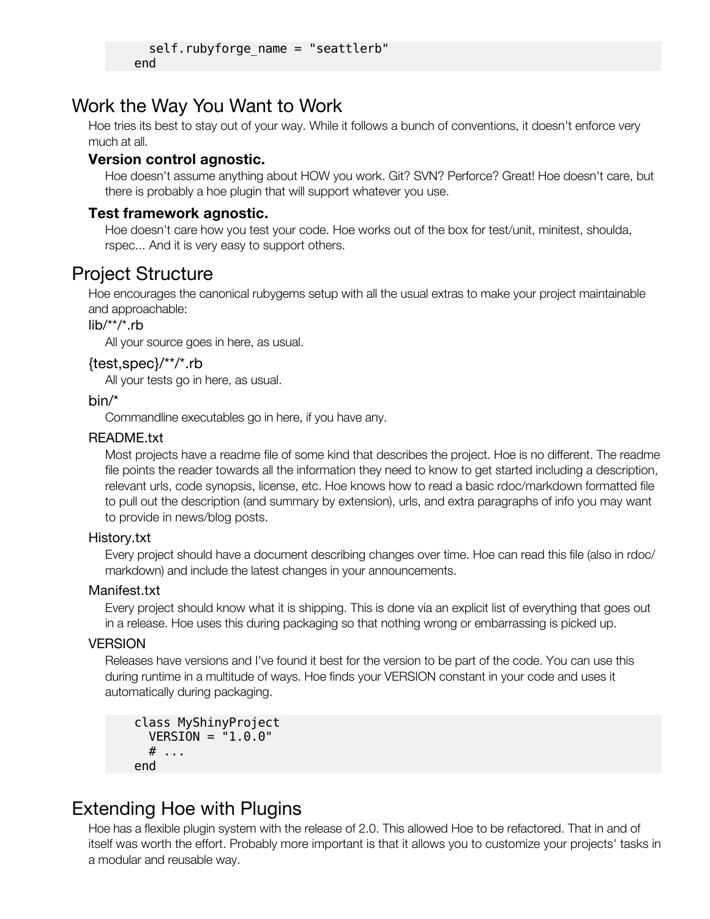```
 self.rubyforge_name = "seattlerb"
 end
```
# Work the Way You Want to Work

Hoe tries its best to stay out of your way. While it follows a bunch of conventions, it doesn't enforce very much at all.

## **Version control agnostic.**

Hoe doesn't assume anything about HOW you work. Git? SVN? Perforce? Great! Hoe doesn't care, but there is probably a hoe plugin that will support whatever you use.

## **Test framework agnostic.**

Hoe doesn't care how you test your code. Hoe works out of the box for test/unit, minitest, shoulda, rspec... And it is very easy to support others.

# Project Structure

Hoe encourages the canonical rubygems setup with all the usual extras to make your project maintainable and approachable:

## lib/\*\*/\*.rb

All your source goes in here, as usual.

## {test,spec}/\*\*/\*.rb

All your tests go in here, as usual.

## bin/\*

Commandline executables go in here, if you have any.

## README.txt

Most projects have a readme file of some kind that describes the project. Hoe is no different. The readme file points the reader towards all the information they need to know to get started including a description, relevant urls, code synopsis, license, etc. Hoe knows how to read a basic rdoc/markdown formatted file to pull out the description (and summary by extension), urls, and extra paragraphs of info you may want to provide in news/blog posts.

## History.txt

Every project should have a document describing changes over time. Hoe can read this file (also in rdoc/ markdown) and include the latest changes in your announcements.

## Manifest.txt

Every project should know what it is shipping. This is done via an explicit list of everything that goes out in a release. Hoe uses this during packaging so that nothing wrong or embarrassing is picked up.

## **VERSION**

Releases have versions and I've found it best for the version to be part of the code. You can use this during runtime in a multitude of ways. Hoe finds your VERSION constant in your code and uses it automatically during packaging.

```
 class MyShinyProject
   VERSION = "1.0.0"
   # ...
 end
```
## Extending Hoe with Plugins

Hoe.plugin :minitest

Hoe has a flexible plugin system with the release of 2.0. This allowed Hoe to be refactored. That in and of itself was worth the effort. Probably more important is that it allows you to customize your projects' tasks in a modular and reusable way.

## Using Hoe Plugins

Using a Hoe plugin is incredibly easy. Activate it by calling Hoe.plugin like so: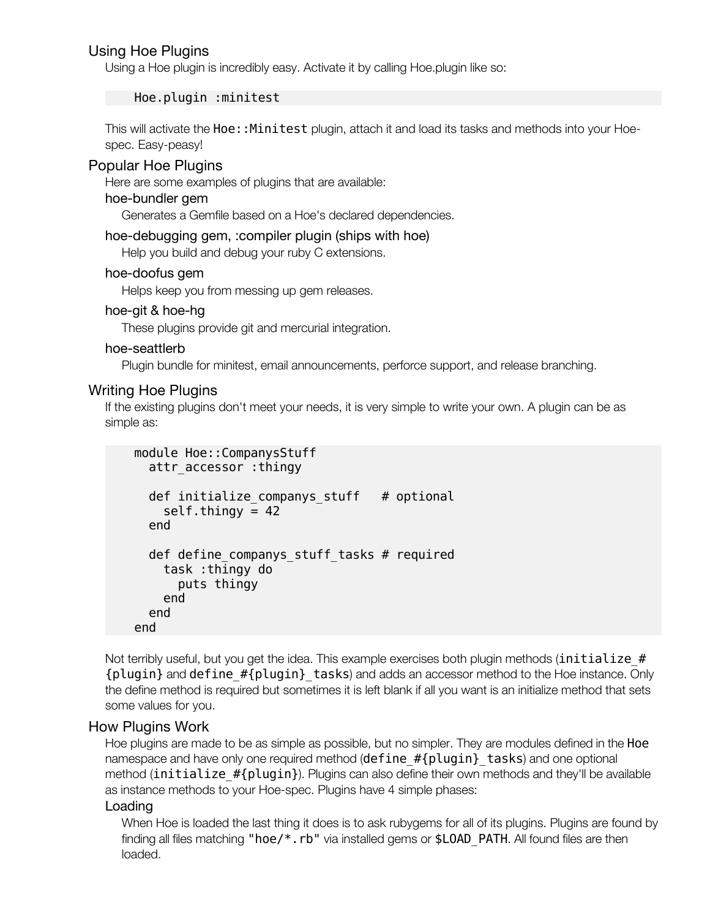## Using Hoe Plugins

Using a Hoe plugin is incredibly easy. Activate it by calling Hoe.plugin like so:

#### Hoe.plugin :minitest

This will activate the Hoe:: Minitest plugin, attach it and load its tasks and methods into your Hoespec. Easy-peasy!

#### Popular Hoe Plugins

Here are some examples of plugins that are available:

#### hoe-bundler gem

Generates a Gemfile based on a Hoe's declared dependencies.

#### hoe-debugging gem, :compiler plugin (ships with hoe)

Help you build and debug your ruby C extensions.

#### hoe-doofus gem

Helps keep you from messing up gem releases.

#### hoe-git & hoe-hg

These plugins provide git and mercurial integration.

#### hoe-seattlerb

Plugin bundle for minitest, email announcements, perforce support, and release branching.

#### Writing Hoe Plugins

If the existing plugins don't meet your needs, it is very simple to write your own. A plugin can be as simple as:

```
 module Hoe::CompanysStuff
   attr_accessor :thingy
  def initialize companys stuff # optional
    self.thingy = 42
   end
   def define_companys_stuff_tasks # required
     task :thingy do
       puts thingy
     end
   end
 end
```
Not terribly useful, but you get the idea. This example exercises both plugin methods (initialize  $#$ {plugin} and define\_#{plugin}\_tasks) and adds an accessor method to the Hoe instance. Only the define method is required but sometimes it is left blank if all you want is an initialize method that sets some values for you.

#### How Plugins Work

Hoe plugins are made to be as simple as possible, but no simpler. They are modules defined in the Hoe namespace and have only one required method (define #{plugin} tasks) and one optional method (initialize  $#{plugin}$ ). Plugins can also define their own methods and they'll be available as instance methods to your Hoe-spec. Plugins have 4 simple phases:

#### Loading

When Hoe is loaded the last thing it does is to ask rubygems for all of its plugins. Plugins are found by finding all files matching "hoe/\*.rb" via installed gems or \$LOAD PATH. All found files are then loaded.

#### Activation

All of the plugins that ship with Hoe are activated by default. This is because they're providing the same functionality that the previous Hoe was and without them, it'd be mostly useless. Other plugins are activated by: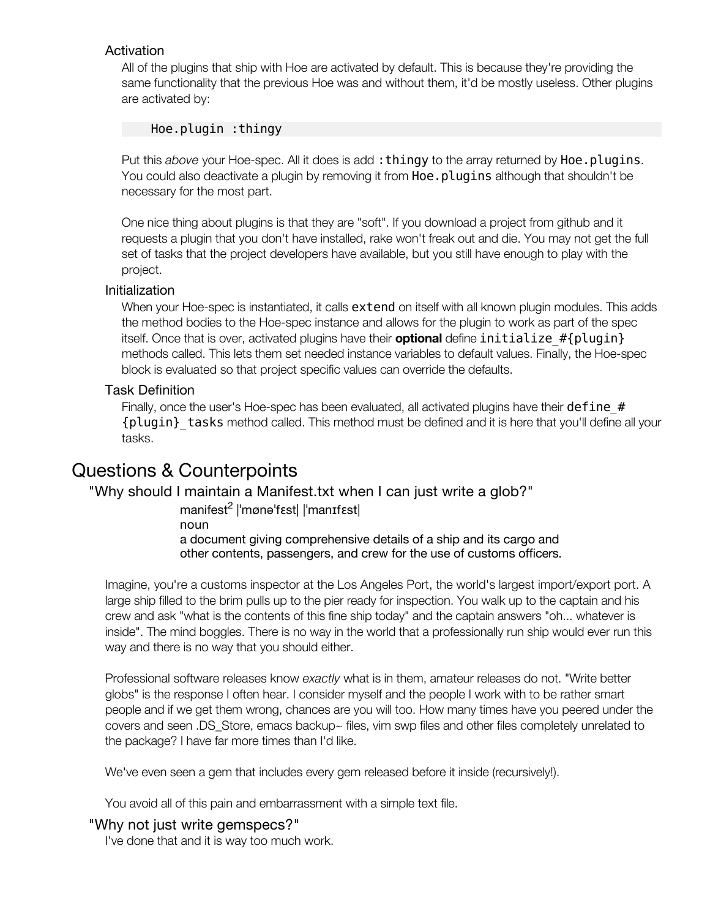When Hoe is loaded the last thing it does is to ask rubygems for all of its plugins. Plugins are found by finding all files matching " $hoe/*$ . rb" via installed gems or  $$LOAD$  PATH. All found files are then loaded.

#### Activation

All of the plugins that ship with Hoe are activated by default. This is because they're providing the same functionality that the previous Hoe was and without them, it'd be mostly useless. Other plugins are activated by:

#### Hoe.plugin :thingy

Put this *above* your Hoe-spec. All it does is add: thingy to the array returned by Hoe.plugins. You could also deactivate a plugin by removing it from **Hoe.plugins** although that shouldn't be necessary for the most part.

One nice thing about plugins is that they are "soft". If you download a project from github and it requests a plugin that you don't have installed, rake won't freak out and die. You may not get the full set of tasks that the project developers have available, but you still have enough to play with the project.

#### Initialization

When your Hoe-spec is instantiated, it calls **extend** on itself with all known plugin modules. This adds the method bodies to the Hoe-spec instance and allows for the plugin to work as part of the spec itself. Once that is over, activated plugins have their **optional** define initialize\_#{plugin} methods called. This lets them set needed instance variables to default values. Finally, the Hoe-spec block is evaluated so that project specific values can override the defaults.

#### Task Definition

Finally, once the user's Hoe-spec has been evaluated, all activated plugins have their define\_# {plugin}\_tasks method called. This method must be defined and it is here that you'll define all your tasks.

## Questions & Counterpoints

## "Why should I maintain a Manifest.txt when I can just write a glob?"

manifest<sup>2</sup> |ˈmønəˈfɛst| |ˈmanɪfɛst| noun a document giving comprehensive details of a ship and its cargo and other contents, passengers, and crew for the use of customs officers.

Imagine, you're a customs inspector at the Los Angeles Port, the world's largest import/export port. A large ship filled to the brim pulls up to the pier ready for inspection. You walk up to the captain and his crew and ask "what is the contents of this fine ship today" and the captain answers "oh... whatever is inside". The mind boggles. There is no way in the world that a professionally run ship would ever run this way and there is no way that you should either.

Professional software releases know *exactly* what is in them, amateur releases do not. "Write better globs" is the response I often hear. I consider myself and the people I work with to be rather smart people and if we get them wrong, chances are you will too. How many times have you peered under the covers and seen .DS\_Store, emacs backup~ files, vim swp files and other files completely unrelated to the package? I have far more times than I'd like.

We've even seen a gem that includes every gem released before it inside (recursively!).

You avoid all of this pain and embarrassment with a simple text file.

#### "Why not just write gemspecs?"

I've done that and it is way too much work.